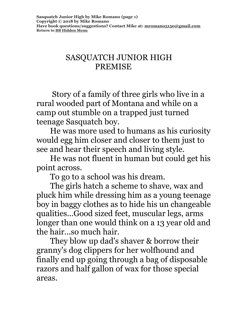#### SASQUATCH JUNIOR HIGH PREMISE

 Story of a family of three girls who live in a rural wooded part of Montana and while on a camp out stumble on a trapped just turned teenage Sasquatch boy.

 He was more used to humans as his curiosity would egg him closer and closer to them just to see and hear their speech and living style.

 He was not fluent in human but could get his point across.

To go to a school was his dream.

 The girls hatch a scheme to shave, wax and pluck him while dressing him as a young teenage boy in baggy clothes as to hide his un changeable qualities...Good sized feet, muscular legs, arms longer than one would think on a 13 year old and the hair...so much hair.

 They blow up dad's shaver & borrow their granny's dog clippers for her wolfhound and finally end up going through a bag of disposable razors and half gallon of wax for those special areas.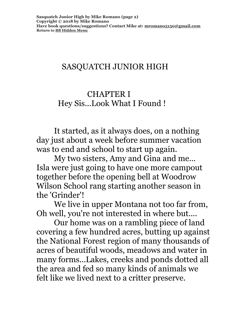# SASQUATCH JUNIOR HIGH

#### CHAPTER I Hey Sis...Look What I Found !

 It started, as it always does, on a nothing day just about a week before summer vacation was to end and school to start up again.

 My two sisters, Amy and Gina and me... Isla were just going to have one more campout together before the opening bell at Woodrow Wilson School rang starting another season in the 'Grinder'!

 We live in upper Montana not too far from, Oh well, you're not interested in where but....

 Our home was on a rambling piece of land covering a few hundred acres, butting up against the National Forest region of many thousands of acres of beautiful woods, meadows and water in many forms...Lakes, creeks and ponds dotted all the area and fed so many kinds of animals we felt like we lived next to a critter preserve.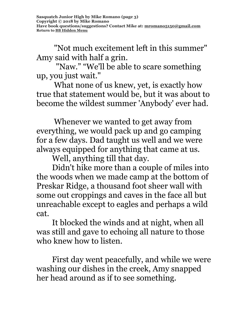"Not much excitement left in this summer" Amy said with half a grin.

 "Naw." "We'll be able to scare something up, you just wait."

 What none of us knew, yet, is exactly how true that statement would be, but it was about to become the wildest summer 'Anybody' ever had.

 Whenever we wanted to get away from everything, we would pack up and go camping for a few days. Dad taught us well and we were always equipped for anything that came at us.

Well, anything till that day.

 Didn't hike more than a couple of miles into the woods when we made camp at the bottom of Preskar Ridge, a thousand foot sheer wall with some out croppings and caves in the face all but unreachable except to eagles and perhaps a wild cat.

 It blocked the winds and at night, when all was still and gave to echoing all nature to those who knew how to listen.

 First day went peacefully, and while we were washing our dishes in the creek, Amy snapped her head around as if to see something.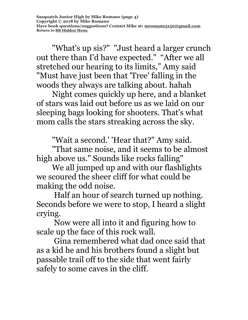"What's up sis?" "Just heard a larger crunch out there than I'd have expected." "After we all stretched our hearing to its limits," Amy said "Must have just been that 'Tree' falling in the woods they always are talking about. hahah

 Night comes quickly up here, and a blanket of stars was laid out before us as we laid on our sleeping bags looking for shooters. That's what mom calls the stars streaking across the sky.

"Wait a second.' 'Hear that?" Amy said.

 "That same noise, and it seems to be almost high above us." Sounds like rocks falling"

 We all jumped up and with our flashlights we scoured the sheer cliff for what could be making the odd noise.

 Half an hour of search turned up nothing. Seconds before we were to stop, I heard a slight crying.

 Now were all into it and figuring how to scale up the face of this rock wall.

 Gina remembered what dad once said that as a kid he and his brothers found a slight but passable trail off to the side that went fairly safely to some caves in the cliff.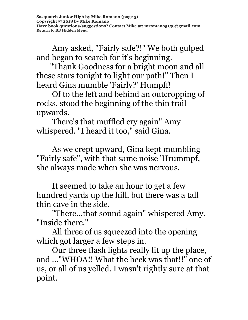Amy asked, "Fairly safe?!" We both gulped and began to search for it's beginning.

 "Thank Goodness for a bright moon and all these stars tonight to light our path!" Then I heard Gina mumble 'Fairly?' Humpff!

 Of to the left and behind an outcropping of rocks, stood the beginning of the thin trail upwards.

 There's that muffled cry again" Amy whispered. "I heard it too," said Gina.

 As we crept upward, Gina kept mumbling "Fairly safe", with that same noise 'Hrummpf, she always made when she was nervous.

 It seemed to take an hour to get a few hundred yards up the hill, but there was a tall thin cave in the side.

 "There...that sound again" whispered Amy. "Inside there."

 All three of us squeezed into the opening which got larger a few steps in.

 Our three flash lights really lit up the place, and ..."WHOA!! What the heck was that!!" one of us, or all of us yelled. I wasn't rightly sure at that point.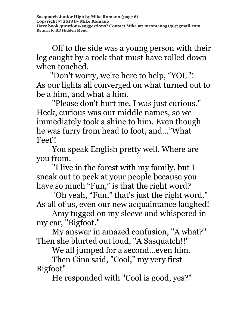Off to the side was a young person with their leg caught by a rock that must have rolled down when touched.

 "Don't worry, we're here to help, "YOU"! As our lights all converged on what turned out to be a him, and what a him.

 "Please don't hurt me, I was just curious." Heck, curious was our middle names, so we immediately took a shine to him. Even though he was furry from head to foot, and…"What Feet'!

 You speak English pretty well. Where are you from.

 "I live in the forest with my family, but I sneak out to peek at your people because you have so much "Fun," is that the right word?

'Oh yeah, "Fun," that's just the right word." As all of us, even our new acquaintance laughed!

 Amy tugged on my sleeve and whispered in my ear, "Bigfoot."

 My answer in amazed confusion, "A what?" Then she blurted out loud, "A Sasquatch!!"

We all jumped for a second...even him.

 Then Gina said, "Cool," my very first Bigfoot"

He responded with "Cool is good, yes?"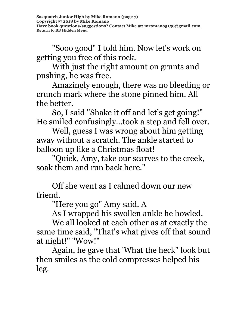"Sooo good" I told him. Now let's work on getting you free of this rock.

 With just the right amount on grunts and pushing, he was free.

 Amazingly enough, there was no bleeding or crunch mark where the stone pinned him. All the better.

 So, I said "Shake it off and let's get going!" He smiled confusingly...took a step and fell over.

 Well, guess I was wrong about him getting away without a scratch. The ankle started to balloon up like a Christmas float!

 "Quick, Amy, take our scarves to the creek, soak them and run back here."

 Off she went as I calmed down our new friend.

"Here you go" Amy said. A

As I wrapped his swollen ankle he howled.

 We all looked at each other as at exactly the same time said, "That's what gives off that sound at night!" "Wow!"

 Again, he gave that 'What the heck" look but then smiles as the cold compresses helped his leg.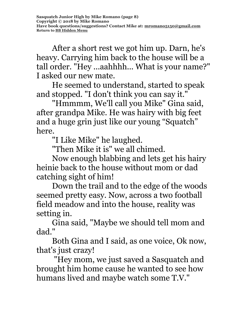After a short rest we got him up. Darn, he's heavy. Carrying him back to the house will be a tall order. "Hey ...aahhhh... What is your name?" I asked our new mate.

 He seemed to understand, started to speak and stopped. "I don't think you can say it."

 "Hmmmm, We'll call you Mike" Gina said, after grandpa Mike. He was hairy with big feet and a huge grin just like our young "Squatch" here.

"I Like Mike" he laughed.

"Then Mike it is" we all chimed.

 Now enough blabbing and lets get his hairy heinie back to the house without mom or dad catching sight of him!

 Down the trail and to the edge of the woods seemed pretty easy. Now, across a two football field meadow and into the house, reality was setting in.

 Gina said, "Maybe we should tell mom and dad."

 Both Gina and I said, as one voice, Ok now, that's just crazy!

 "Hey mom, we just saved a Sasquatch and brought him home cause he wanted to see how humans lived and maybe watch some T.V."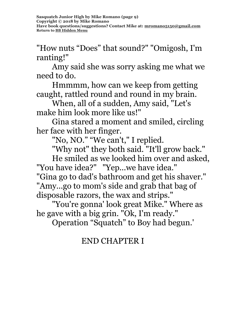"How nuts "Does" that sound?" "Omigosh, I'm ranting!"

 Amy said she was sorry asking me what we need to do.

 Hmmmm, how can we keep from getting caught, rattled round and round in my brain.

 When, all of a sudden, Amy said, "Let's make him look more like us!"

 Gina stared a moment and smiled, circling her face with her finger.

"No, NO." "We can't, " I replied.

"Why not" they both said. "It'll grow back."

 He smiled as we looked him over and asked, "You have idea?" "Yep...we have idea."

"Gina go to dad's bathroom and get his shaver." "Amy...go to mom's side and grab that bag of disposable razors, the wax and strips."

 "You're gonna' look great Mike." Where as he gave with a big grin. "Ok, I'm ready."

Operation "Squatch" to Boy had begun.'

### END CHAPTER I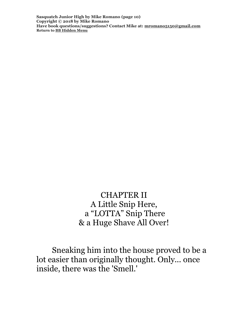**Sasquatch Junior High by Mike Romano (page 10) Copyright © 2018 by Mike Romano Have book questions/suggestions? Contact Mike at: [mromano5150@gmail.com](mailto:mromano5150@gmail.com) Return t[o BB Hidden Menu](https://www.bartlettbiographies.com/hidden-menu)**

> CHAPTER II A Little Snip Here, a "LOTTA" Snip There & a Huge Shave All Over!

 Sneaking him into the house proved to be a lot easier than originally thought. Only... once inside, there was the 'Smell.'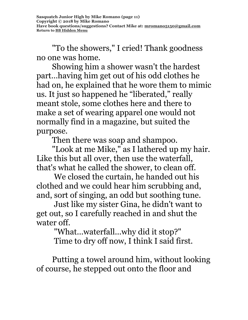"To the showers," I cried! Thank goodness no one was home.

 Showing him a shower wasn't the hardest part…having him get out of his odd clothes he had on, he explained that he wore them to mimic us. It just so happened he "liberated," really meant stole, some clothes here and there to make a set of wearing apparel one would not normally find in a magazine, but suited the purpose.

Then there was soap and shampoo.

 "Look at me Mike," as I lathered up my hair. Like this but all over, then use the waterfall, that's what he called the shower, to clean off.

 We closed the curtain, he handed out his clothed and we could hear him scrubbing and, and, sort of singing, an odd but soothing tune.

 Just like my sister Gina, he didn't want to get out, so I carefully reached in and shut the water off.

> "What...waterfall...why did it stop?" Time to dry off now, I think I said first.

 Putting a towel around him, without looking of course, he stepped out onto the floor and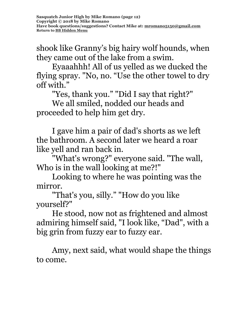shook like Granny's big hairy wolf hounds, when they came out of the lake from a swim.

 Eyaaahhh! All of us yelled as we ducked the flying spray. "No, no. "Use the other towel to dry off with."

"Yes, thank you." "Did I say that right?"

 We all smiled, nodded our heads and proceeded to help him get dry.

 I gave him a pair of dad's shorts as we left the bathroom. A second later we heard a roar like yell and ran back in.

 "What's wrong?" everyone said. "The wall, Who is in the wall looking at me?!"

 Looking to where he was pointing was the mirror.

 "That's you, silly." "How do you like yourself?"

 He stood, now not as frightened and almost admiring himself said, "I look like, "Dad", with a big grin from fuzzy ear to fuzzy ear.

 Amy, next said, what would shape the things to come.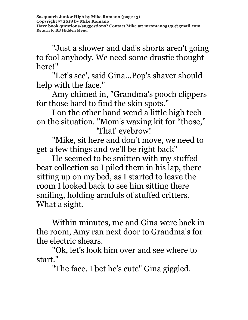"Just a shower and dad's shorts aren't going to fool anybody. We need some drastic thought here!"

 "Let's see', said Gina...Pop's shaver should help with the face."

 Amy chimed in, "Grandma's pooch clippers for those hard to find the skin spots."

 I on the other hand wend a little high tech on the situation. "Mom's waxing kit for "those," 'That' eyebrow!

 "Mike, sit here and don't move, we need to get a few things and we'll be right back"

 He seemed to be smitten with my stuffed bear collection so I piled them in his lap, there sitting up on my bed, as I started to leave the room I looked back to see him sitting there smiling, holding armfuls of stuffed critters. What a sight.

 Within minutes, me and Gina were back in the room, Amy ran next door to Grandma's for the electric shears.

 "Ok, let's look him over and see where to start."

"The face. I bet he's cute" Gina giggled.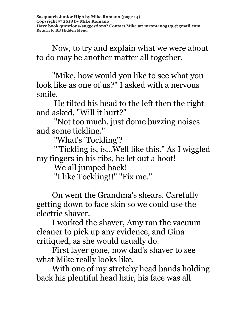Now, to try and explain what we were about to do may be another matter all together.

 "Mike, how would you like to see what you look like as one of us?" I asked with a nervous smile.

 He tilted his head to the left then the right and asked, "Will it hurt?"

 "Not too much, just dome buzzing noises and some tickling."

"What's 'Tockling'?

 '"Tickling is, is...Well like this." As I wiggled my fingers in his ribs, he let out a hoot!

We all jumped back!

"I like Tockling!!" "Fix me."

 On went the Grandma's shears. Carefully getting down to face skin so we could use the electric shaver.

 I worked the shaver, Amy ran the vacuum cleaner to pick up any evidence, and Gina critiqued, as she would usually do.

 First layer gone, now dad's shaver to see what Mike really looks like.

 With one of my stretchy head bands holding back his plentiful head hair, his face was all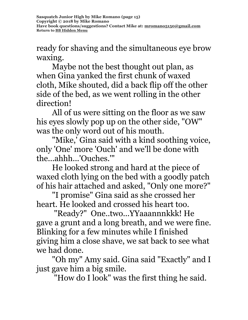ready for shaving and the simultaneous eye brow waxing.

 Maybe not the best thought out plan, as when Gina yanked the first chunk of waxed cloth, Mike shouted, did a back flip off the other side of the bed, as we went rolling in the other direction!

 All of us were sitting on the floor as we saw his eyes slowly pop up on the other side, "OW" was the only word out of his mouth.

 "Mike,' Gina said with a kind soothing voice, only 'One' more 'Ouch' and we'll be done with the...ahhh...'Ouches.'"

 He looked strong and hard at the piece of waxed cloth lying on the bed with a goodly patch of his hair attached and asked, "Only one more?"

 "I promise" Gina said as she crossed her heart. He looked and crossed his heart too.

 "Ready?" One..two...YYaaannnkkk! He gave a grunt and a long breath, and we were fine. Blinking for a few minutes while I finished giving him a close shave, we sat back to see what we had done.

 "Oh my" Amy said. Gina said "Exactly" and I just gave him a big smile.

"How do I look" was the first thing he said.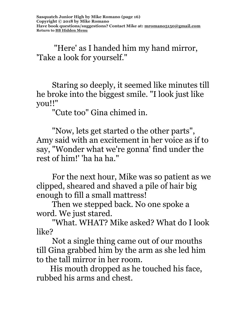"Here' as I handed him my hand mirror, 'Take a look for yourself."

 Staring so deeply, it seemed like minutes till he broke into the biggest smile. "I look just like you!!"

"Cute too" Gina chimed in.

 "Now, lets get started o the other parts", Amy said with an excitement in her voice as if to say, "Wonder what we're gonna' find under the rest of him!' 'ha ha ha."

 For the next hour, Mike was so patient as we clipped, sheared and shaved a pile of hair big enough to fill a small mattress!

 Then we stepped back. No one spoke a word. We just stared.

 "What. WHAT? Mike asked? What do I look like?

 Not a single thing came out of our mouths till Gina grabbed him by the arm as she led him to the tall mirror in her room.

 His mouth dropped as he touched his face, rubbed his arms and chest.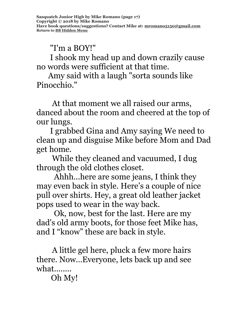"I'm a BOY!"

 I shook my head up and down crazily cause no words were sufficient at that time.

 Amy said with a laugh "sorta sounds like Pinocchio."

 At that moment we all raised our arms, danced about the room and cheered at the top of our lungs.

 I grabbed Gina and Amy saying We need to clean up and disguise Mike before Mom and Dad get home.

 While they cleaned and vacuumed, I dug through the old clothes closet.

 Ahhh...here are some jeans, I think they may even back in style. Here's a couple of nice pull over shirts. Hey, a great old leather jacket pops used to wear in the way back.

 Ok, now, best for the last. Here are my dad's old army boots, for those feet Mike has, and I "know" these are back in style.

 A little gel here, pluck a few more hairs there. Now…Everyone, lets back up and see what........

Oh My!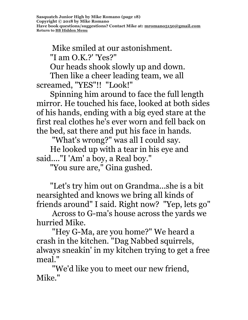Mike smiled at our astonishment. "I am O.K.?' 'Yes?"

Our heads shook slowly up and down.

 Then like a cheer leading team, we all screamed, "YES"!! "Look!"

 Spinning him around to face the full length mirror. He touched his face, looked at both sides of his hands, ending with a big eyed stare at the first real clothes he's ever worn and fell back on the bed, sat there and put his face in hands.

"What's wrong?" was all I could say.

 He looked up with a tear in his eye and said...."I 'Am' a boy, a Real boy."

"You sure are," Gina gushed.

 "Let's try him out on Grandma...she is a bit nearsighted and knows we bring all kinds of friends around" I said. Right now? "Yep, lets go"

 Across to G-ma's house across the yards we hurried Mike.

 "Hey G-Ma, are you home?" We heard a crash in the kitchen. "Dag Nabbed squirrels, always sneakin' in my kitchen trying to get a free meal."

 "We'd like you to meet our new friend, Mike."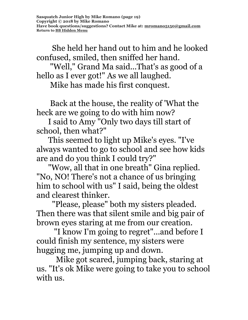She held her hand out to him and he looked confused, smiled, then sniffed her hand.

 "Well," Grand Ma said...That's as good of a hello as I ever got!" As we all laughed.

Mike has made his first conquest.

 Back at the house, the reality of 'What the heck are we going to do with him now?

 I said to Amy "Only two days till start of school, then what?"

 This seemed to light up Mike's eyes. "I've always wanted to go to school and see how kids are and do you think I could try?"

 "Wow, all that in one breath" Gina replied. "No, NO! There's not a chance of us bringing him to school with us" I said, being the oldest and clearest thinker.

 "Please, please" both my sisters pleaded. Then there was that silent smile and big pair of brown eyes staring at me from our creation.

 "I know I'm going to regret"...and before I could finish my sentence, my sisters were hugging me, jumping up and down.

 Mike got scared, jumping back, staring at us. "It's ok Mike were going to take you to school with us.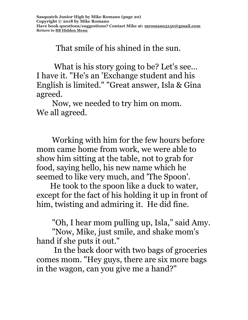That smile of his shined in the sun.

What is his story going to be? Let's see... I have it. "He's an 'Exchange student and his English is limited." "Great answer, Isla & Gina agreed.

 Now, we needed to try him on mom. We all agreed.

 Working with him for the few hours before mom came home from work, we were able to show him sitting at the table, not to grab for food, saying hello, his new name which he seemed to like very much, and 'The Spoon'.

 He took to the spoon like a duck to water, except for the fact of his holding it up in front of him, twisting and admiring it. He did fine.

"Oh, I hear mom pulling up, Isla," said Amy.

 "Now, Mike, just smile, and shake mom's hand if she puts it out."

 In the back door with two bags of groceries comes mom. "Hey guys, there are six more bags in the wagon, can you give me a hand?"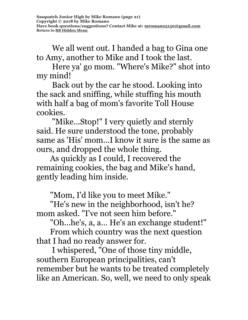We all went out. I handed a bag to Gina one to Amy, another to Mike and I took the last.

 Here ya' go mom. "Where's Mike?" shot into my mind!

 Back out by the car he stood. Looking into the sack and sniffing, while stuffing his mouth with half a bag of mom's favorite Toll House cookies.

 "Mike...Stop!" I very quietly and sternly said. He sure understood the tone, probably same as 'His' mom...I know it sure is the same as ours, and dropped the whole thing.

 As quickly as I could, I recovered the remaining cookies, the bag and Mike's hand, gently leading him inside.

"Mom, I'd like you to meet Mike."

 "He's new in the neighborhood, isn't he? mom asked. "I've not seen him before."

"Oh...he's, a, a… He's an exchange student!"

 From which country was the next question that I had no ready answer for.

 I whispered, "One of those tiny middle, southern European principalities, can't remember but he wants to be treated completely like an American. So, well, we need to only speak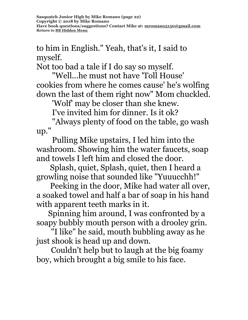to him in English." Yeah, that's it, I said to myself.

Not too bad a tale if I do say so myself.

 "Well...he must not have 'Toll House' cookies from where he comes cause' he's wolfing down the last of them right now" Mom chuckled.

'Wolf' may be closer than she knew.

I've invited him for dinner. Is it ok?

 "Always plenty of food on the table, go wash up."

 Pulling Mike upstairs, I led him into the washroom. Showing him the water faucets, soap and towels I left him and closed the door.

 Splash, quiet, Splash, quiet, then I heard a growling noise that sounded like "Yuuucchh!"

 Peeking in the door, Mike had water all over, a soaked towel and half a bar of soap in his hand with apparent teeth marks in it.

 Spinning him around, I was confronted by a soapy bubbly mouth person with a drooley grin.

"I like" he said, mouth bubbling away as he just shook is head up and down.

Couldn't help but to laugh at the big foamy boy, which brought a big smile to his face.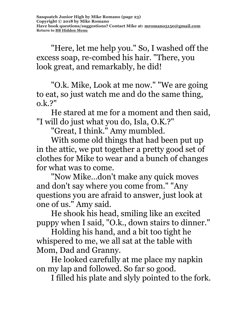"Here, let me help you." So, I washed off the excess soap, re-combed his hair. "There, you look great, and remarkably, he did!

"O.k. Mike, Look at me now." "We are going to eat, so just watch me and do the same thing, o.k.?"

He stared at me for a moment and then said, "I will do just what you do, Isla, O.K.?"

"Great, I think." Amy mumbled.

With some old things that had been put up in the attic, we put together a pretty good set of clothes for Mike to wear and a bunch of changes for what was to come.

"Now Mike…don't make any quick moves and don't say where you come from." "Any questions you are afraid to answer, just look at one of us." Amy said.

He shook his head, smiling like an excited puppy when I said, "O.k., down stairs to dinner."

Holding his hand, and a bit too tight he whispered to me, we all sat at the table with Mom, Dad and Granny.

He looked carefully at me place my napkin on my lap and followed. So far so good.

I filled his plate and slyly pointed to the fork.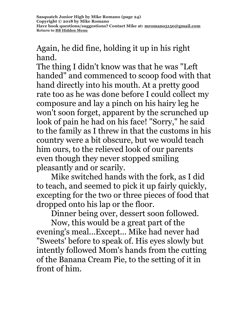Again, he did fine, holding it up in his right hand.

The thing I didn't know was that he was "Left handed" and commenced to scoop food with that hand directly into his mouth. At a pretty good rate too as he was done before I could collect my composure and lay a pinch on his hairy leg he won't soon forget, apparent by the scrunched up look of pain he had on his face! "Sorry," he said to the family as I threw in that the customs in his country were a bit obscure, but we would teach him ours, to the relieved look of our parents even though they never stopped smiling pleasantly and or scarily.

Mike switched hands with the fork, as I did to teach, and seemed to pick it up fairly quickly, excepting for the two or three pieces of food that dropped onto his lap or the floor.

Dinner being over, dessert soon followed.

Now, this would be a great part of the evening's meal...Except... Mike had never had "Sweets' before to speak of. His eyes slowly but intently followed Mom's hands from the cutting of the Banana Cream Pie, to the setting of it in front of him.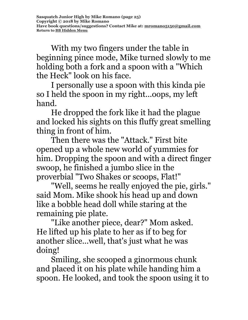With my two fingers under the table in beginning pince mode, Mike turned slowly to me holding both a fork and a spoon with a "Which the Heck" look on his face.

I personally use a spoon with this kinda pie so I held the spoon in my right...oops, my left hand.

He dropped the fork like it had the plague and locked his sights on this fluffy great smelling thing in front of him.

Then there was the "Attack." First bite opened up a whole new world of yummies for him. Dropping the spoon and with a direct finger swoop, he finished a jumbo slice in the proverbial "Two Shakes or scoops, Flat!"

"Well, seems he really enjoyed the pie, girls." said Mom. Mike shook his head up and down like a bobble head doll while staring at the remaining pie plate.

"Like another piece, dear?" Mom asked. He lifted up his plate to her as if to beg for another slice...well, that's just what he was doing!

Smiling, she scooped a ginormous chunk and placed it on his plate while handing him a spoon. He looked, and took the spoon using it to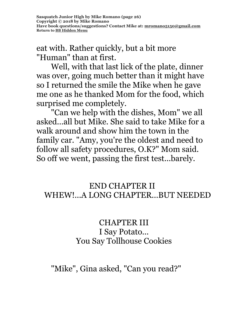eat with. Rather quickly, but a bit more "Human" than at first.

Well, with that last lick of the plate, dinner was over, going much better than it might have so I returned the smile the Mike when he gave me one as he thanked Mom for the food, which surprised me completely.

"Can we help with the dishes, Mom" we all asked...all but Mike. She said to take Mike for a walk around and show him the town in the family car. "Amy, you're the oldest and need to follow all safety procedures, O.K?" Mom said. So off we went, passing the first test...barely.

#### END CHAPTER II WHEW!...A LONG CHAPTER...BUT NEEDED

#### CHAPTER III I Say Potato... You Say Tollhouse Cookies

# "Mike", Gina asked, "Can you read?"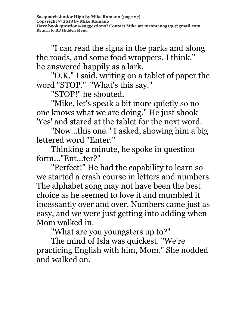"I can read the signs in the parks and along the roads, and some food wrappers, I think." he answered happily as a lark.

"O.K." I said, writing on a tablet of paper the word "STOP." "What's this say."

"STOP!" he shouted.

"Mike, let's speak a bit more quietly so no one knows what we are doing." He just shook 'Yes' and stared at the tablet for the next word.

"Now...this one." I asked, showing him a big lettered word "Enter."

Thinking a minute, he spoke in question form..."Ent...ter?"

"Perfect!" He had the capability to learn so we started a crash course in letters and numbers. The alphabet song may not have been the best choice as he seemed to love it and mumbled it incessantly over and over. Numbers came just as easy, and we were just getting into adding when Mom walked in.

"What are you youngsters up to?"

The mind of Isla was quickest. "We're practicing English with him, Mom." She nodded and walked on.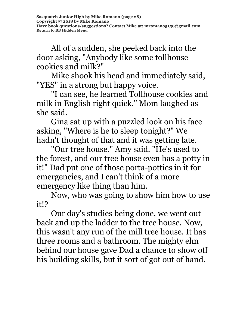**Sasquatch Junior High by Mike Romano (page 28) Copyright © 2018 by Mike Romano Have book questions/suggestions? Contact Mike at: [mromano5150@gmail.com](mailto:mromano5150@gmail.com) Return t[o BB Hidden Menu](https://www.bartlettbiographies.com/hidden-menu)**

All of a sudden, she peeked back into the door asking, "Anybody like some tollhouse cookies and milk?"

Mike shook his head and immediately said, "YES" in a strong but happy voice.

"I can see, he learned Tollhouse cookies and milk in English right quick." Mom laughed as she said.

Gina sat up with a puzzled look on his face asking, "Where is he to sleep tonight?" We hadn't thought of that and it was getting late.

"Our tree house." Amy said. "He's used to the forest, and our tree house even has a potty in it!" Dad put one of those porta-potties in it for emergencies, and I can't think of a more emergency like thing than him.

Now, who was going to show him how to use it!?

Our day's studies being done, we went out back and up the ladder to the tree house. Now, this wasn't any run of the mill tree house. It has three rooms and a bathroom. The mighty elm behind our house gave Dad a chance to show off his building skills, but it sort of got out of hand.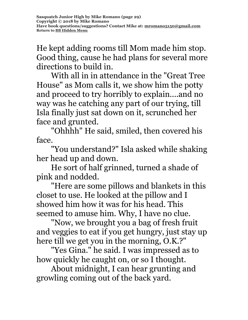He kept adding rooms till Mom made him stop. Good thing, cause he had plans for several more directions to build in.

With all in in attendance in the "Great Tree House" as Mom calls it, we show him the potty and proceed to try horribly to explain....and no way was he catching any part of our trying, till Isla finally just sat down on it, scrunched her face and grunted.

"Ohhhh" He said, smiled, then covered his face.

"You understand?" Isla asked while shaking her head up and down.

He sort of half grinned, turned a shade of pink and nodded.

"Here are some pillows and blankets in this closet to use. He looked at the pillow and I showed him how it was for his head. This seemed to amuse him. Why, I have no clue.

"Now, we brought you a bag of fresh fruit and veggies to eat if you get hungry, just stay up here till we get you in the morning, O.K.?"

"Yes Gina." he said. I was impressed as to how quickly he caught on, or so I thought.

About midnight, I can hear grunting and growling coming out of the back yard.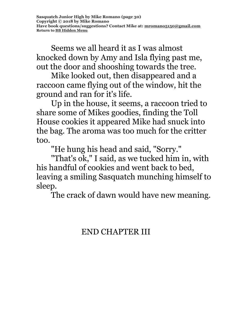Seems we all heard it as I was almost knocked down by Amy and Isla flying past me, out the door and shooshing towards the tree.

Mike looked out, then disappeared and a raccoon came flying out of the window, hit the ground and ran for it's life.

Up in the house, it seems, a raccoon tried to share some of Mikes goodies, finding the Toll House cookies it appeared Mike had snuck into the bag. The aroma was too much for the critter too.

"He hung his head and said, "Sorry."

"That's ok," I said, as we tucked him in, with his handful of cookies and went back to bed, leaving a smiling Sasquatch munching himself to sleep.

The crack of dawn would have new meaning.

#### END CHAPTER III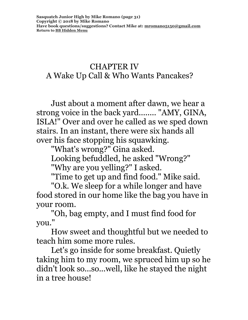#### CHAPTER IV A Wake Up Call & Who Wants Pancakes?

Just about a moment after dawn, we hear a strong voice in the back yard........ "AMY, GINA, ISLA!" Over and over he called as we sped down stairs. In an instant, there were six hands all over his face stopping his squawking.

"What's wrong?" Gina asked.

Looking befuddled, he asked "Wrong?"

"Why are you yelling?" I asked.

"Time to get up and find food." Mike said.

"O.k. We sleep for a while longer and have food stored in our home like the bag you have in your room.

"Oh, bag empty, and I must find food for you."

How sweet and thoughtful but we needed to teach him some more rules.

Let's go inside for some breakfast. Quietly taking him to my room, we spruced him up so he didn't look so...so...well, like he stayed the night in a tree house!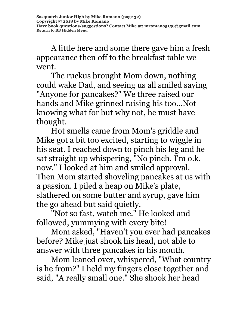A little here and some there gave him a fresh appearance then off to the breakfast table we went.

The ruckus brought Mom down, nothing could wake Dad, and seeing us all smiled saying "Anyone for pancakes?" We three raised our hands and Mike grinned raising his too...Not knowing what for but why not, he must have thought.

Hot smells came from Mom's griddle and Mike got a bit too excited, starting to wiggle in his seat. I reached down to pinch his leg and he sat straight up whispering, "No pinch. I'm o.k. now." I looked at him and smiled approval. Then Mom started shoveling pancakes at us with a passion. I piled a heap on Mike's plate, slathered on some butter and syrup, gave him the go ahead but said quietly.

"Not so fast, watch me." He looked and followed, yummying with every bite!

Mom asked, "Haven't you ever had pancakes before? Mike just shook his head, not able to answer with three pancakes in his mouth.

Mom leaned over, whispered, "What country is he from?" I held my fingers close together and said, "A really small one." She shook her head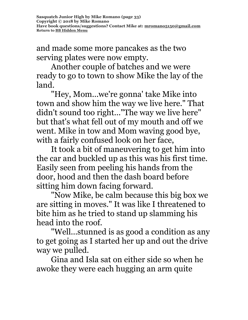and made some more pancakes as the two serving plates were now empty.

Another couple of batches and we were ready to go to town to show Mike the lay of the land.

"Hey, Mom...we're gonna' take Mike into town and show him the way we live here." That didn't sound too right..."The way we live here" but that's what fell out of my mouth and off we went. Mike in tow and Mom waving good bye, with a fairly confused look on her face,

It took a bit of maneuvering to get him into the car and buckled up as this was his first time. Easily seen from peeling his hands from the door, hood and then the dash board before sitting him down facing forward.

"Now Mike, be calm because this big box we are sitting in moves." It was like I threatened to bite him as he tried to stand up slamming his head into the roof.

"Well...stunned is as good a condition as any to get going as I started her up and out the drive way we pulled.

Gina and Isla sat on either side so when he awoke they were each hugging an arm quite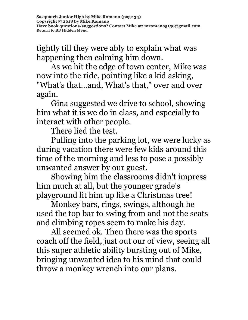tightly till they were ably to explain what was happening then calming him down.

As we hit the edge of town center, Mike was now into the ride, pointing like a kid asking, "What's that...and, What's that," over and over again.

Gina suggested we drive to school, showing him what it is we do in class, and especially to interact with other people.

There lied the test.

Pulling into the parking lot, we were lucky as during vacation there were few kids around this time of the morning and less to pose a possibly unwanted answer by our guest.

Showing him the classrooms didn't impress him much at all, but the younger grade's playground lit him up like a Christmas tree!

Monkey bars, rings, swings, although he used the top bar to swing from and not the seats and climbing ropes seem to make his day.

All seemed ok. Then there was the sports coach off the field, just out our of view, seeing all this super athletic ability bursting out of Mike, bringing unwanted idea to his mind that could throw a monkey wrench into our plans.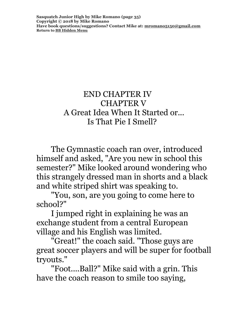**Sasquatch Junior High by Mike Romano (page 35) Copyright © 2018 by Mike Romano Have book questions/suggestions? Contact Mike at: [mromano5150@gmail.com](mailto:mromano5150@gmail.com) Return t[o BB Hidden Menu](https://www.bartlettbiographies.com/hidden-menu)**

#### END CHAPTER IV CHAPTER V A Great Idea When It Started or... Is That Pie I Smell?

The Gymnastic coach ran over, introduced himself and asked, "Are you new in school this semester?" Mike looked around wondering who this strangely dressed man in shorts and a black and white striped shirt was speaking to.

"You, son, are you going to come here to school?"

I jumped right in explaining he was an exchange student from a central European village and his English was limited.

"Great!" the coach said. "Those guys are great soccer players and will be super for football tryouts."

"Foot....Ball?" Mike said with a grin. This have the coach reason to smile too saying,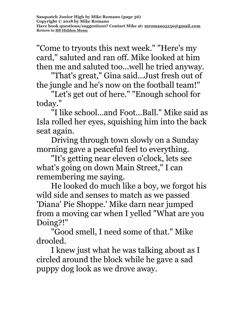"Come to tryouts this next week." "Here's my card," saluted and ran off. Mike looked at him then me and saluted too...well he tried anyway.

"That's great," Gina said...Just fresh out of the jungle and he's now on the football team!"

"Let's get out of here." "Enough school for today."

"I like school...and Foot...Ball." Mike said as Isla rolled her eyes, squishing him into the back seat again.

Driving through town slowly on a Sunday morning gave a peaceful feel to everything.

"It's getting near eleven o'clock, lets see what's going on down Main Street," I can remembering me saying.

He looked do much like a boy, we forgot his wild side and senses to match as we passed 'Diana' Pie Shoppe.' Mike darn near jumped from a moving car when I yelled "What are you Doing?!"

"Good smell, I need some of that." Mike drooled.

I knew just what he was talking about as I circled around the block while he gave a sad puppy dog look as we drove away.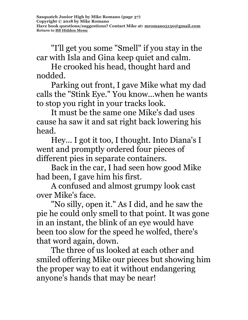"I'll get you some "Smell" if you stay in the car with Isla and Gina keep quiet and calm.

He crooked his head, thought hard and nodded.

Parking out front, I gave Mike what my dad calls the "Stink Eye." You know...when he wants to stop you right in your tracks look.

It must be the same one Mike's dad uses cause ha saw it and sat right back lowering his head.

Hey... I got it too, I thought. Into Diana's I went and promptly ordered four pieces of different pies in separate containers.

Back in the car, I had seen how good Mike had been, I gave him his first.

A confused and almost grumpy look cast over Mike's face.

"No silly, open it." As I did, and he saw the pie he could only smell to that point. It was gone in an instant, the blink of an eye would have been too slow for the speed he wolfed, there's that word again, down.

The three of us looked at each other and smiled offering Mike our pieces but showing him the proper way to eat it without endangering anyone's hands that may be near!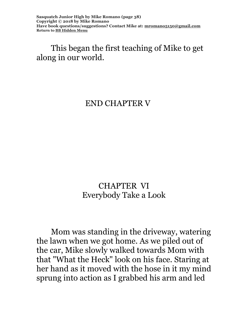**Sasquatch Junior High by Mike Romano (page 38) Copyright © 2018 by Mike Romano Have book questions/suggestions? Contact Mike at: [mromano5150@gmail.com](mailto:mromano5150@gmail.com) Return t[o BB Hidden Menu](https://www.bartlettbiographies.com/hidden-menu)**

#### This began the first teaching of Mike to get along in our world.

#### END CHAPTER V

#### CHAPTER VI Everybody Take a Look

Mom was standing in the driveway, watering the lawn when we got home. As we piled out of the car, Mike slowly walked towards Mom with that "What the Heck" look on his face. Staring at her hand as it moved with the hose in it my mind sprung into action as I grabbed his arm and led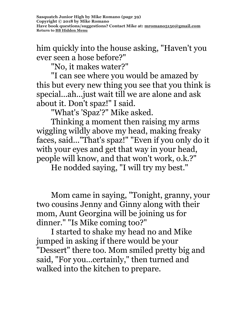him quickly into the house asking, "Haven't you ever seen a hose before?"

"No, it makes water?"

"I can see where you would be amazed by this but every new thing you see that you think is special...ah...just wait till we are alone and ask about it. Don't spaz!" I said.

"What's 'Spaz'?" Mike asked.

Thinking a moment then raising my arms wiggling wildly above my head, making freaky faces, said..."That's spaz!" "Even if you only do it with your eyes and get that way in your head, people will know, and that won't work, o.k.?"

He nodded saying, "I will try my best."

Mom came in saying, "Tonight, granny, your two cousins Jenny and Ginny along with their mom, Aunt Georgina will be joining us for dinner." "Is Mike coming too?"

I started to shake my head no and Mike jumped in asking if there would be your "Dessert" there too. Mom smiled pretty big and said, "For you...certainly," then turned and walked into the kitchen to prepare.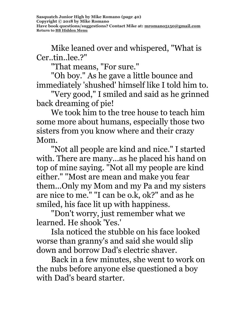Mike leaned over and whispered, "What is Cer..tin..lee.?"

"That means, "For sure."

"Oh boy." As he gave a little bounce and immediately 'shushed' himself like I told him to.

"Very good," I smiled and said as he grinned back dreaming of pie!

We took him to the tree house to teach him some more about humans, especially those two sisters from you know where and their crazy Mom.

"Not all people are kind and nice." I started with. There are many...as he placed his hand on top of mine saying. "Not all my people are kind either." "Most are mean and make you fear them...Only my Mom and my Pa and my sisters are nice to me." "I can be o.k, ok?" and as he smiled, his face lit up with happiness.

"Don't worry, just remember what we learned. He shook 'Yes.'

Isla noticed the stubble on his face looked worse than granny's and said she would slip down and borrow Dad's electric shaver.

Back in a few minutes, she went to work on the nubs before anyone else questioned a boy with Dad's beard starter.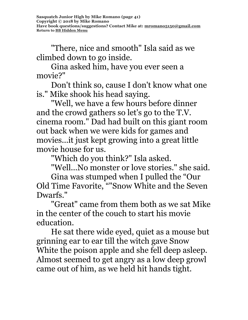"There, nice and smooth" Isla said as we climbed down to go inside.

Gina asked him, have you ever seen a movie?"

Don't think so, cause I don't know what one is." Mike shook his head saying.

"Well, we have a few hours before dinner and the crowd gathers so let's go to the T.V. cinema room." Dad had built on this giant room out back when we were kids for games and movies...it just kept growing into a great little movie house for us.

"Which do you think?" Isla asked.

"Well...No monster or love stories." she said.

Gina was stumped when I pulled the "Our Old Time Favorite, ""Snow White and the Seven Dwarfs."

"Great" came from them both as we sat Mike in the center of the couch to start his movie education.

He sat there wide eyed, quiet as a mouse but grinning ear to ear till the witch gave Snow White the poison apple and she fell deep asleep. Almost seemed to get angry as a low deep growl came out of him, as we held hit hands tight.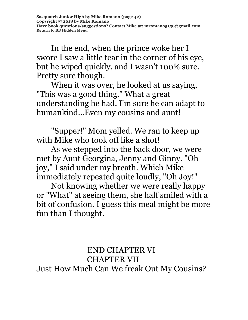In the end, when the prince woke her I swore I saw a little tear in the corner of his eye, but he wiped quickly, and I wasn't 100% sure. Pretty sure though.

When it was over, he looked at us saying, "This was a good thing." What a great understanding he had. I'm sure he can adapt to humankind...Even my cousins and aunt!

"Supper!" Mom yelled. We ran to keep up with Mike who took off like a shot!

As we stepped into the back door, we were met by Aunt Georgina, Jenny and Ginny. "Oh joy," I said under my breath. Which Mike immediately repeated quite loudly, "Oh Joy!"

Not knowing whether we were really happy or "What" at seeing them, she half smiled with a bit of confusion. I guess this meal might be more fun than I thought.

 END CHAPTER VI CHAPTER VII Just How Much Can We freak Out My Cousins?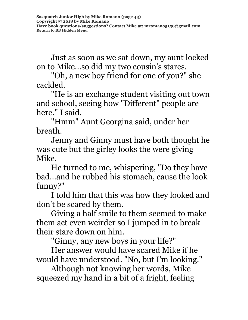Just as soon as we sat down, my aunt locked on to Mike...so did my two cousin's stares.

"Oh, a new boy friend for one of you?" she cackled.

"He is an exchange student visiting out town and school, seeing how "Different" people are here." I said.

"Hmm" Aunt Georgina said, under her breath.

Jenny and Ginny must have both thought he was cute but the girley looks the were giving Mike.

He turned to me, whispering, "Do they have bad...and he rubbed his stomach, cause the look funny?"

I told him that this was how they looked and don't be scared by them.

Giving a half smile to them seemed to make them act even weirder so I jumped in to break their stare down on him.

"Ginny, any new boys in your life?"

Her answer would have scared Mike if he would have understood. "No, but I'm looking."

Although not knowing her words, Mike squeezed my hand in a bit of a fright, feeling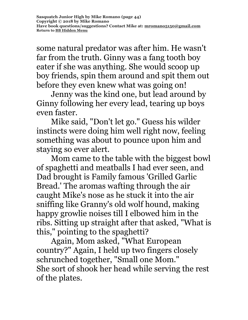some natural predator was after him. He wasn't far from the truth. Ginny was a fang tooth boy eater if she was anything. She would scoop up boy friends, spin them around and spit them out before they even knew what was going on!

Jenny was the kind one, but lead around by Ginny following her every lead, tearing up boys even faster.

Mike said, "Don't let go." Guess his wilder instincts were doing him well right now, feeling something was about to pounce upon him and staying so ever alert.

Mom came to the table with the biggest bowl of spaghetti and meatballs I had ever seen, and Dad brought is Family famous 'Grilled Garlic Bread.' The aromas wafting through the air caught Mike's nose as he stuck it into the air sniffing like Granny's old wolf hound, making happy growlie noises till I elbowed him in the ribs. Sitting up straight after that asked, "What is this," pointing to the spaghetti?

Again, Mom asked, "What European country?" Again, I held up two fingers closely schrunched together, "Small one Mom." She sort of shook her head while serving the rest of the plates.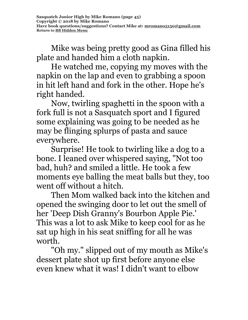Mike was being pretty good as Gina filled his plate and handed him a cloth napkin.

He watched me, copying my moves with the napkin on the lap and even to grabbing a spoon in hit left hand and fork in the other. Hope he's right handed.

Now, twirling spaghetti in the spoon with a fork full is not a Sasquatch sport and I figured some explaining was going to be needed as he may be flinging splurps of pasta and sauce everywhere.

Surprise! He took to twirling like a dog to a bone. I leaned over whispered saying, "Not too bad, huh? and smiled a little. He took a few moments eye balling the meat balls but they, too went off without a hitch.

Then Mom walked back into the kitchen and opened the swinging door to let out the smell of her 'Deep Dish Granny's Bourbon Apple Pie.' This was a lot to ask Mike to keep cool for as he sat up high in his seat sniffing for all he was worth.

"Oh my." slipped out of my mouth as Mike's dessert plate shot up first before anyone else even knew what it was! I didn't want to elbow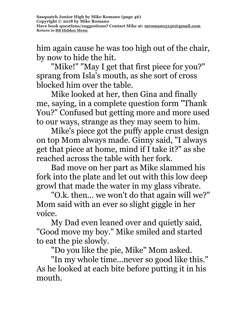him again cause he was too high out of the chair, by now to hide the hit.

"Mike!" "May I get that first piece for you?" sprang from Isla's mouth, as she sort of cross blocked him over the table.

Mike looked at her, then Gina and finally me, saying, in a complete question form "Thank You?" Confused but getting more and more used to our ways, strange as they may seem to him.

Mike's piece got the puffy apple crust design on top Mom always made. Ginny said, "I always get that piece at home, mind if I take it?" as she reached across the table with her fork.

Bad move on her part as Mike slammed his fork into the plate and let out with this low deep growl that made the water in my glass vibrate.

"O.k. then... we won't do that again will we?" Mom said with an ever so slight giggle in her voice.

My Dad even leaned over and quietly said, "Good move my boy." Mike smiled and started to eat the pie slowly.

"Do you like the pie, Mike" Mom asked.

"In my whole time...never so good like this." As he looked at each bite before putting it in his mouth.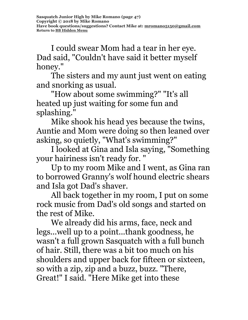I could swear Mom had a tear in her eye. Dad said, "Couldn't have said it better myself honey."

The sisters and my aunt just went on eating and snorking as usual.

"How about some swimming?" "It's all heated up just waiting for some fun and splashing."

Mike shook his head yes because the twins, Auntie and Mom were doing so then leaned over asking, so quietly, "What's swimming?"

I looked at Gina and Isla saying, "Something your hairiness isn't ready for. "

Up to my room Mike and I went, as Gina ran to borrowed Granny's wolf hound electric shears and Isla got Dad's shaver.

All back together in my room, I put on some rock music from Dad's old songs and started on the rest of Mike.

We already did his arms, face, neck and legs...well up to a point...thank goodness, he wasn't a full grown Sasquatch with a full bunch of hair. Still, there was a bit too much on his shoulders and upper back for fifteen or sixteen, so with a zip, zip and a buzz, buzz. "There, Great!" I said. "Here Mike get into these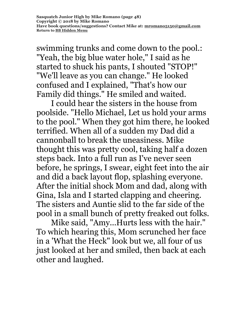swimming trunks and come down to the pool.: "Yeah, the big blue water hole," I said as he started to shuck his pants, I shouted "STOP!" "We'll leave as you can change." He looked confused and I explained, "That's how our Family did things." He smiled and waited.

I could hear the sisters in the house from poolside. "Hello Michael, Let us hold your arms to the pool." When they got him there, he looked terrified. When all of a sudden my Dad did a cannonball to break the uneasiness. Mike thought this was pretty cool, taking half a dozen steps back. Into a full run as I've never seen before, he springs, I swear, eight feet into the air and did a back layout flop, splashing everyone. After the initial shock Mom and dad, along with Gina, Isla and I started clapping and cheering. The sisters and Auntie slid to the far side of the pool in a small bunch of pretty freaked out folks.

Mike said, "Amy...Hurts less with the hair." To which hearing this, Mom scrunched her face in a 'What the Heck" look but we, all four of us just looked at her and smiled, then back at each other and laughed.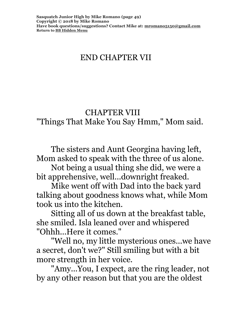# END CHAPTER VII

#### CHAPTER VIII

"Things That Make You Say Hmm," Mom said.

The sisters and Aunt Georgina having left, Mom asked to speak with the three of us alone.

Not being a usual thing she did, we were a bit apprehensive, well...downright freaked.

Mike went off with Dad into the back yard talking about goodness knows what, while Mom took us into the kitchen.

Sitting all of us down at the breakfast table, she smiled. Isla leaned over and whispered "Ohhh...Here it comes."

"Well no, my little mysterious ones...we have a secret, don't we?" Still smiling but with a bit more strength in her voice.

"Amy...You, I expect, are the ring leader, not by any other reason but that you are the oldest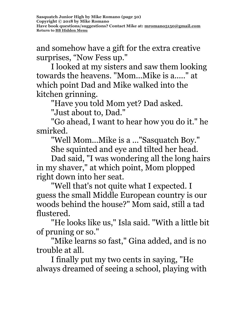and somehow have a gift for the extra creative surprises, "Now Fess up."

I looked at my sisters and saw them looking towards the heavens. "Mom...Mike is a....." at which point Dad and Mike walked into the kitchen grinning.

"Have you told Mom yet? Dad asked.

"Just about to, Dad."

"Go ahead, I want to hear how you do it." he smirked.

"Well Mom...Mike is a ..."Sasquatch Boy."

She squinted and eye and tilted her head.

Dad said, "I was wondering all the long hairs in my shaver," at which point, Mom plopped right down into her seat.

"Well that's not quite what I expected. I guess the small Middle European country is our woods behind the house?" Mom said, still a tad flustered.

"He looks like us," Isla said. "With a little bit of pruning or so."

"Mike learns so fast," Gina added, and is no trouble at all.

I finally put my two cents in saying, "He always dreamed of seeing a school, playing with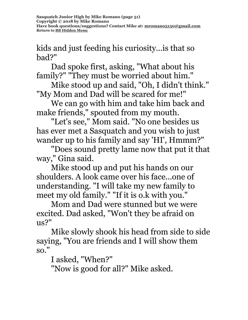kids and just feeding his curiosity...is that so bad?"

Dad spoke first, asking, "What about his family?" "They must be worried about him."

Mike stood up and said, "Oh, I didn't think." "My Mom and Dad will be scared for me!"

We can go with him and take him back and make friends," spouted from my mouth.

"Let's see," Mom said. "No one besides us has ever met a Sasquatch and you wish to just wander up to his family and say 'HI', Hmmm?"

"Does sound pretty lame now that put it that way," Gina said.

Mike stood up and put his hands on our shoulders. A look came over his face...one of understanding. "I will take my new family to meet my old family." "If it is o.k with you."

Mom and Dad were stunned but we were excited. Dad asked, "Won't they be afraid on us?"

Mike slowly shook his head from side to side saying, "You are friends and I will show them so."

I asked, "When?"

"Now is good for all?" Mike asked.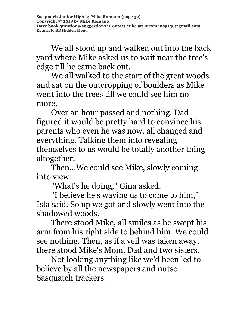We all stood up and walked out into the back yard where Mike asked us to wait near the tree's edge till he came back out.

We all walked to the start of the great woods and sat on the outcropping of boulders as Mike went into the trees till we could see him no more.

Over an hour passed and nothing. Dad figured it would be pretty hard to convince his parents who even he was now, all changed and everything. Talking them into revealing themselves to us would be totally another thing altogether.

Then...We could see Mike, slowly coming into view.

"What's he doing," Gina asked.

"I believe he's waving us to come to him," Isla said. So up we got and slowly went into the shadowed woods.

There stood Mike, all smiles as he swept his arm from his right side to behind him. We could see nothing. Then, as if a veil was taken away, there stood Mike's Mom, Dad and two sisters.

Not looking anything like we'd been led to believe by all the newspapers and nutso Sasquatch trackers.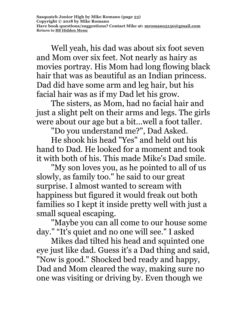Well yeah, his dad was about six foot seven and Mom over six feet. Not nearly as hairy as movies portray. His Mom had long flowing black hair that was as beautiful as an Indian princess. Dad did have some arm and leg hair, but his facial hair was as if my Dad let his grow.

The sisters, as Mom, had no facial hair and just a slight pelt on their arms and legs. The girls were about our age but a bit...well a foot taller.

"Do you understand me?", Dad Asked.

He shook his head "Yes" and held out his hand to Dad. He looked for a moment and took it with both of his. This made Mike's Dad smile.

"My son loves you, as he pointed to all of us slowly, as family too." he said to our great surprise. I almost wanted to scream with happiness but figured it would freak out both families so I kept it inside pretty well with just a small squeal escaping.

"Maybe you can all come to our house some day." "It's quiet and no one will see." I asked

Mikes dad tilted his head and squinted one eye just like dad. Guess it's a Dad thing and said, "Now is good." Shocked bed ready and happy, Dad and Mom cleared the way, making sure no one was visiting or driving by. Even though we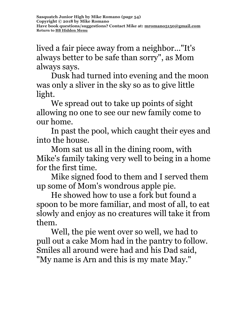lived a fair piece away from a neighbor..."It's always better to be safe than sorry", as Mom always says.

Dusk had turned into evening and the moon was only a sliver in the sky so as to give little light.

We spread out to take up points of sight allowing no one to see our new family come to our home.

In past the pool, which caught their eyes and into the house.

Mom sat us all in the dining room, with Mike's family taking very well to being in a home for the first time.

Mike signed food to them and I served them up some of Mom's wondrous apple pie.

He showed how to use a fork but found a spoon to be more familiar, and most of all, to eat slowly and enjoy as no creatures will take it from them.

Well, the pie went over so well, we had to pull out a cake Mom had in the pantry to follow. Smiles all around were had and his Dad said, "My name is Arn and this is my mate May."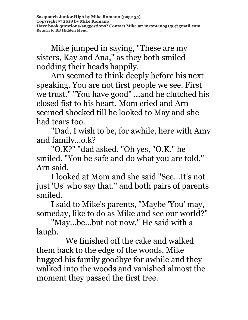Mike jumped in saying, "These are my sisters, Kay and Ana," as they both smiled nodding their heads happily.

Arn seemed to think deeply before his next speaking. You are not first people we see. First we trust." "You have good" ...and he clutched his closed fist to his heart. Mom cried and Arn seemed shocked till he looked to May and she had tears too.

"Dad, I wish to be, for awhile, here with Amy and family...o.k?

"O.K?" "dad asked. "Oh yes, "O.K." he smiled. "You be safe and do what you are told," Arn said.

I looked at Mom and she said "See...It's not just 'Us' who say that." and both pairs of parents smiled.

I said to Mike's parents, "Maybe 'You' may, someday, like to do as Mike and see our world?"

"May...be...but not now." He said with a laugh.

We finished off the cake and walked them back to the edge of the woods. Mike hugged his family goodbye for awhile and they walked into the woods and vanished almost the moment they passed the first tree.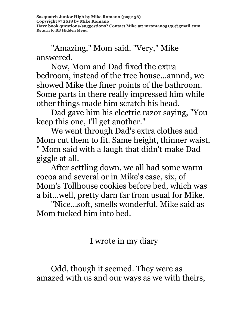"Amazing," Mom said. "Very," Mike answered.

Now, Mom and Dad fixed the extra bedroom, instead of the tree house...annnd, we showed Mike the finer points of the bathroom. Some parts in there really impressed him while other things made him scratch his head.

Dad gave him his electric razor saying, "You keep this one, I'll get another."

We went through Dad's extra clothes and Mom cut them to fit. Same height, thinner waist, " Mom said with a laugh that didn't make Dad giggle at all.

After settling down, we all had some warm cocoa and several or in Mike's case, six, of Mom's Tollhouse cookies before bed, which was a bit...well, pretty darn far from usual for Mike.

"Nice…soft, smells wonderful. Mike said as Mom tucked him into bed.

I wrote in my diary

Odd, though it seemed. They were as amazed with us and our ways as we with theirs,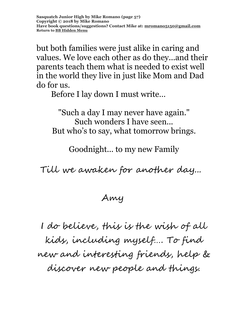but both families were just alike in caring and values. We love each other as do they...and their parents teach them what is needed to exist well in the world they live in just like Mom and Dad do for us.

Before I lay down I must write…

"Such a day I may never have again." Such wonders I have seen... But who's to say, what tomorrow brings.

Goodnight... to my new Family

Till we awaken for another day...

Amy

I do believe, this is the wish of all kids, including myself…. To find new and interesting friends, help & discover new people and things.